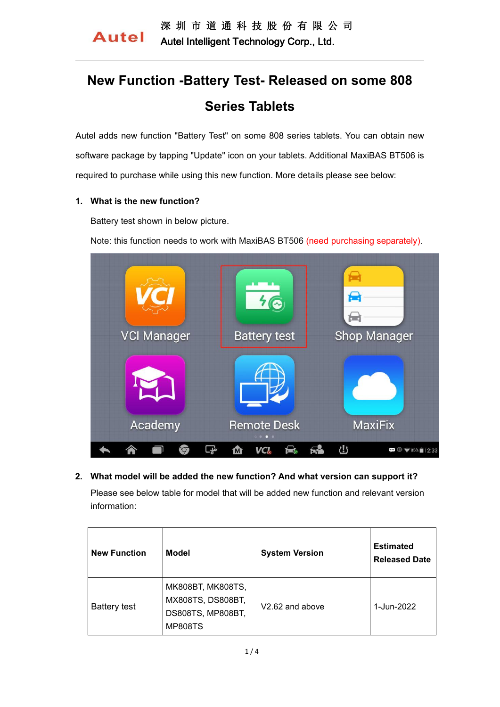# **New Function -Battery Test- Released on some 808 Series Tablets**

Autel adds new function "Battery Test" on some 808 series tablets. You can obtain new software package by tapping "Update" icon on your tablets. Additional MaxiBAS BT506 is required to purchase while using this new function. More details please see below:

#### **1. What is the new function?**

Battery test shown in below picture.

Note: this function needs to work with MaxiBAS BT506 (need purchasing separately).



**2. What model will be added the new function? And what version can support it?** Please see below table for model that will be added new function and relevant version information:

| <b>New Function</b> | <b>Model</b>                                                                  | <b>System Version</b>       | <b>Estimated</b><br><b>Released Date</b> |
|---------------------|-------------------------------------------------------------------------------|-----------------------------|------------------------------------------|
| <b>Battery test</b> | MK808BT, MK808TS,<br>MX808TS, DS808BT,<br>DS808TS, MP808BT,<br><b>MP808TS</b> | V <sub>2.62</sub> and above | 1-Jun-2022                               |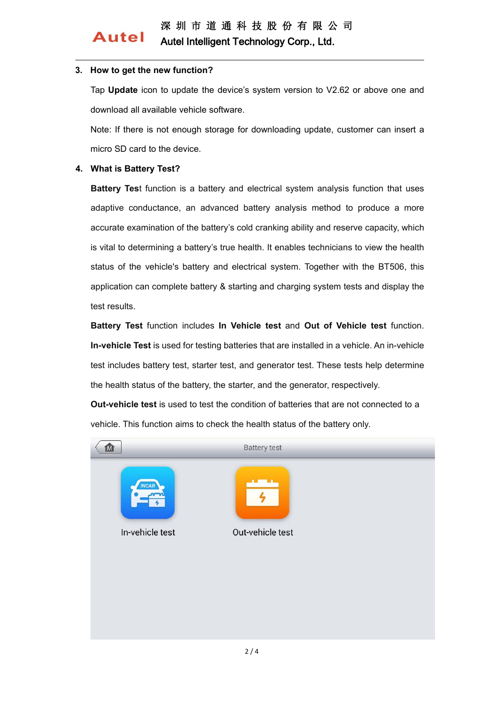## 深 圳 市 道 通 科 技 股 份 有 限 公 司 Autel Intelligent Technology Corp., Ltd.

### **3. How to get the new function?**

Tap **Update** icon to update the device's system version to V2.62 or above one and download all available vehicle software.

Note: If there is not enough storage for downloading update, customer can insert a micro SD card to the device.

#### **4. What is Battery Test?**

**Autel** 

**Battery Tes**t function is a battery and electrical system analysis function that uses adaptive conductance, an advanced battery analysis method to produce a more accurate examination of the battery's cold cranking ability and reserve capacity, which is vital to determining a battery's true health. It enables technicians to view the health status of the vehicle's battery and electrical system. Together with the BT506, this application can complete battery & starting and charging system tests and display the test results.

**Battery Test** function includes **In Vehicle test** and **Out of Vehicle test** function. **In-vehicle Test** is used for testing batteries that are installed in a vehicle. An in-vehicle test includes battery test, starter test, and generator test. These tests help determine the health status of the battery, the starter, and the generator, respectively.

**Out-vehicle test** is used to test the condition of batteries that are not connected to a vehicle. This function aims to check the health status of the battery only.

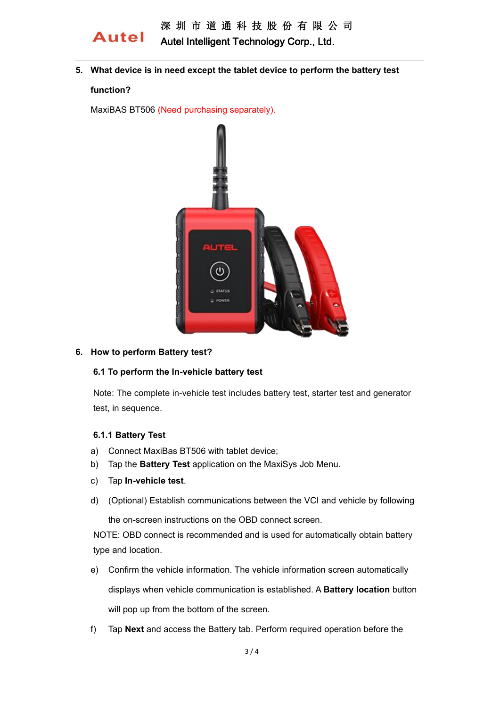

**5. What device is in need except the tablet device to perform the battery test**

#### **function?**

MaxiBAS BT506 (Need purchasing separately).



#### **6. How to perform Battery test?**

#### **6.1 To perform the In-vehicle battery test**

Note: The complete in-vehicle test includes battery test, starter test and generator test, in sequence.

#### **6.1.1 Battery Test**

- a) Connect MaxiBas BT506 with tablet device;
- b) Tap the **Battery Test** application on the MaxiSys Job Menu.
- c) Tap **In-vehicle test**.
- d) (Optional) Establish communications between the VCI and vehicle by following

the on-screen instructions on the OBD connect screen.

NOTE: OBD connect is recommended and is used for automatically obtain battery type and location.

- e) Confirm the vehicle information.The vehicle information screen automatically displays when vehicle communication isestablished. A **Battery location** button will pop up from the bottom of the screen.
- f) Tap **Next** and access the Battery tab. Perform required operation before the